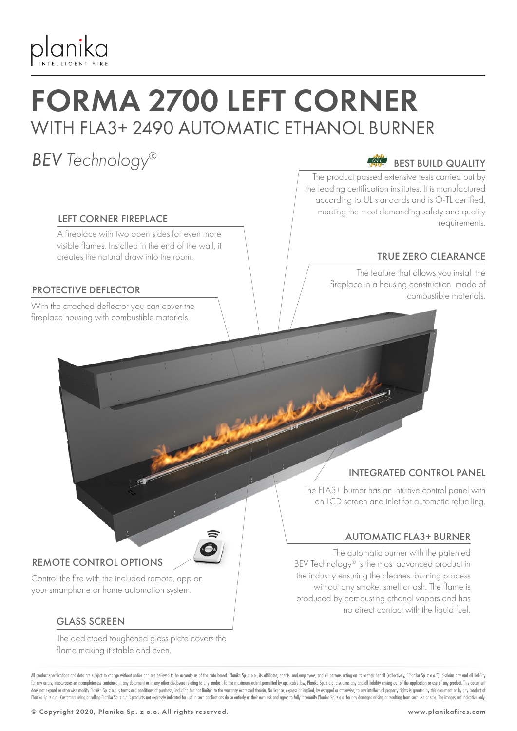

## FORMA 2700 LEFT CORNER WITH FLA3+ 2490 AUTOMATIC ETHANOL BURNER

### *BEV Technology®*

#### LEFT CORNER FIREPLACE

A fireplace with two open sides for even more visible flames. Installed in the end of the wall, it creates the natural draw into the room.

#### PROTECTIVE DEFLECTOR

With the attached deflector you can cover the fireplace housing with combustible materials.

#### BEST BUILD QUALITY

The product passed extensive tests carried out by the leading certification institutes. It is manufactured according to UL standards and is O-TL certified, meeting the most demanding safety and quality requirements.

#### TRUE ZERO CLEARANCE

The feature that allows you install the fireplace in a housing construction made of combustible materials.

#### INTEGRATED CONTROL PANEL

The FLA3+ burner has an intuitive control panel with an LCD screen and inlet for automatic refuelling.

#### AUTOMATIC FLA3+ BURNER

The automatic burner with the patented BEV Technology® is the most advanced product in the industry ensuring the cleanest burning process without any smoke, smell or ash. The flame is produced by combusting ethanol vapors and has no direct contact with the liquid fuel.

#### REMOTE CONTROL OPTIONS

Control the fire with the included remote, app on your smartphone or home automation system.

#### GLASS SCREEN

The dedictaed toughened glass plate covers the flame making it stable and even.

All product specifications and data are subject to change without notice and are believed to be accurate as of the date hereof. Planika Sp. z o.o., its affiliates, agents, and employees, and all pesons acting on its or the for any errors, inaccuracies or incompleteness contained in any document or in any other disclosure relating to any product. To the maximum extent permitted by applicable law, Planika Sp. z o.o. disclaims any and all liabi does not expand or otherwise modify Planika Sp. z o.o.'s terms and conditions of purchase, including but not limited to the warranty expressed therein. No license, express or implied, by estoppel or otherwise, to any intel Planika Sp. z o.o. Customers using or selling Planika Sp. z o.o.'s products not expressly indicated for use in such applications do so entirely at their own risk and agree to fully indemnify Planika Sp. z o.o. for any dama